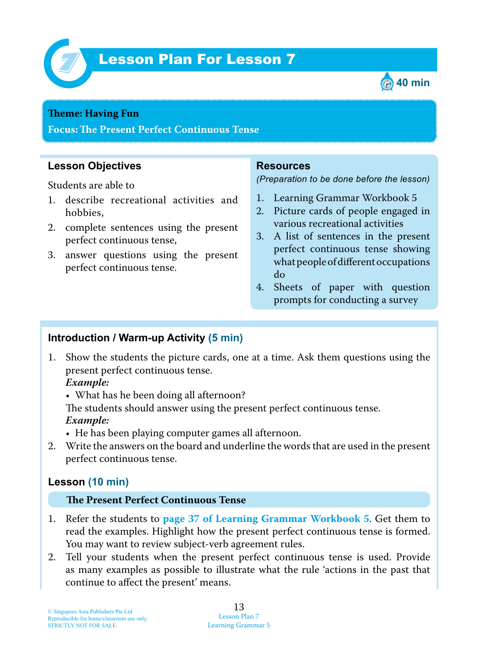

# Lesson Plan For Lesson 7 *7*



### **Theme: Having Fun**

**Focus: Te Present Perfect Continuous Tense**

# **Lesson Objectives**

Students are able to

- 1. describe recreational activities and hobbies,
- 2. complete sentences using the present perfect continuous tense,
- 3. answer questions using the present perfect continuous tense.

## **Resources**

*(Preparation to be done before the lesson)*

- 1. Learning Grammar Workbook 5
- 2. Picture cards of people engaged in various recreational activities
- 3. A list of sentences in the present perfect continuous tense showing what people of different occupations do
- 4. Sheets of paper with question prompts for conducting a survey

## **Introduction / Warm-up Activity (5 min)**

1. Show the students the picture cards, one at a time. Ask them questions using the present perfect continuous tense.

 *Example:*

• What has he been doing all afternoon?

The students should answer using the present perfect continuous tense.  *Example:*

• He has been playing computer games all afternoon.

2. Write the answers on the board and underline the words that are used in the present perfect continuous tense.

# **Lesson (10 min)**

#### **Te Present Perfect Continuous Tense**

- 1. Refer the students to **page 37 of Learning Grammar Workbook 5** . Get them to read the examples. Highlight how the present perfect continuous tense is formed. You may want to review subject-verb agreement rules.
- 2. Tell your students when the present perfect continuous tense is used. Provide as many examples as possible to illustrate what the rule 'actions in the past that continue to affect the present' means.